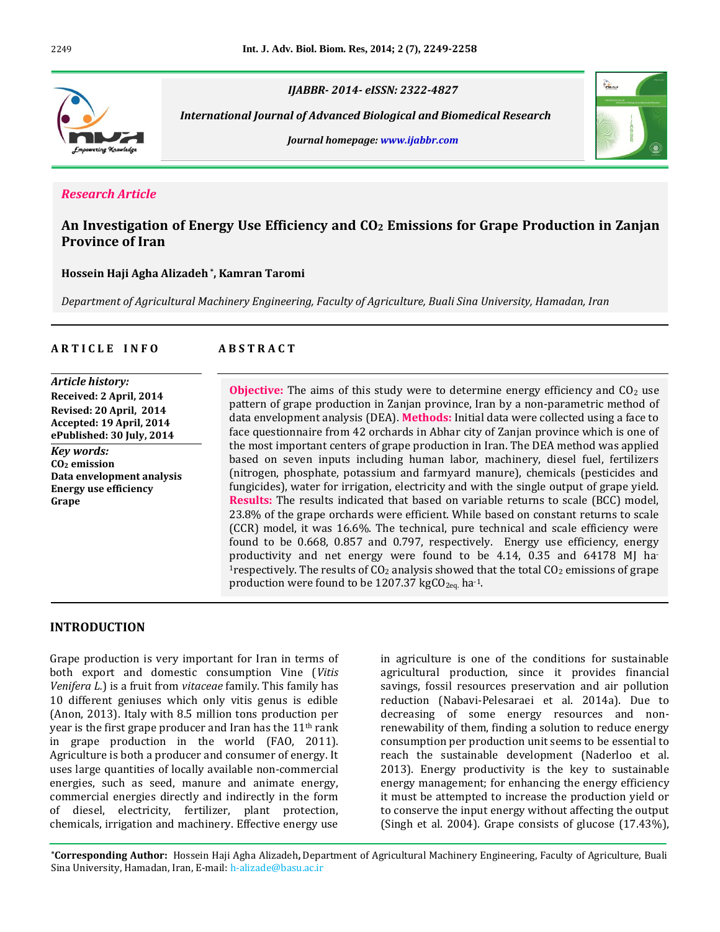

*IJABBR- 2014- eISSN: 2322-4827*

 *International Journal of Advanced Biological and Biomedical Research*

*Journal homepage: www.ijabbr.com*



## *Research Article*

## **An Investigation of Energy Use Efficiency and CO<sup>2</sup> Emissions for Grape Production in Zanjan Province of Iran**

#### **Hossein Haji Agha Alizadeh \* , Kamran Taromi**

*Department of Agricultural Machinery Engineering, Faculty of Agriculture, Buali Sina University, Hamadan, Iran*

## **A R T I C L E I N F O A B S T R A C T**

*Article history:* **Received: 2 April, 2014 Revised: 20 April, 2014 Accepted: 19 April, 2014 ePublished: 30 July, 2014** *Key words:* **CO<sup>2</sup> emission Data envelopment analysis Energy use efficiency Grape**

**Objective:** The aims of this study were to determine energy efficiency and  $CO<sub>2</sub>$  use pattern of grape production in Zanjan province, Iran by a non-parametric method of data envelopment analysis (DEA). **Methods:** Initial data were collected using a face to face questionnaire from 42 orchards in Abhar city of Zanjan province which is one of the most important centers of grape production in Iran. The DEA method was applied based on seven inputs including human labor, machinery, diesel fuel, fertilizers (nitrogen, phosphate, potassium and farmyard manure), chemicals (pesticides and fungicides), water for irrigation, electricity and with the single output of grape yield. **Results:** The results indicated that based on variable returns to scale (BCC) model, 23.8% of the grape orchards were efficient. While based on constant returns to scale (CCR) model, it was 16.6%. The technical, pure technical and scale efficiency were found to be 0.668, 0.857 and 0.797, respectively. Energy use efficiency, energy productivity and net energy were found to be 4.14, 0.35 and 64178 MJ ha-<sup>1</sup>respectively. The results of  $CO<sub>2</sub>$  analysis showed that the total  $CO<sub>2</sub>$  emissions of grape production were found to be 1207.37 kg $CO<sub>2eq</sub>$  ha<sup>-1</sup>.

#### **INTRODUCTION**

Grape production is very important for Iran in terms of both export and domestic consumption Vine (*Vitis Venifera L.*) is a fruit from *vitaceae* family. This family has 10 different geniuses which only vitis genus is edible (Anon, 2013). Italy with 8.5 million tons production per year is the first grape producer and Iran has the 11th rank in grape production in the world (FAO, 2011). Agriculture is both a producer and consumer of energy. It uses large quantities of locally available non-commercial energies, such as seed, manure and animate energy, commercial energies directly and indirectly in the form of diesel, electricity, fertilizer, plant protection, chemicals, irrigation and machinery. Effective energy use

in agriculture is one of the conditions for sustainable agricultural production, since it provides financial savings, fossil resources preservation and air pollution reduction (Nabavi-Pelesaraei et al. 2014a). Due to decreasing of some energy resources and nonrenewability of them, finding a solution to reduce energy consumption per production unit seems to be essential to reach the sustainable development (Naderloo et al. 2013). Energy productivity is the key to sustainable energy management; for enhancing the energy efficiency it must be attempted to increase the production yield or to conserve the input energy without affecting the output (Singh et al. 2004). Grape consists of glucose (17.43%),

**\*Corresponding Author:** Hossein Haji Agha Alizadeh**,** Department of Agricultural Machinery Engineering, Faculty of Agriculture, Buali Sina University, Hamadan, Iran, E-mail: h-alizade@basu.ac.ir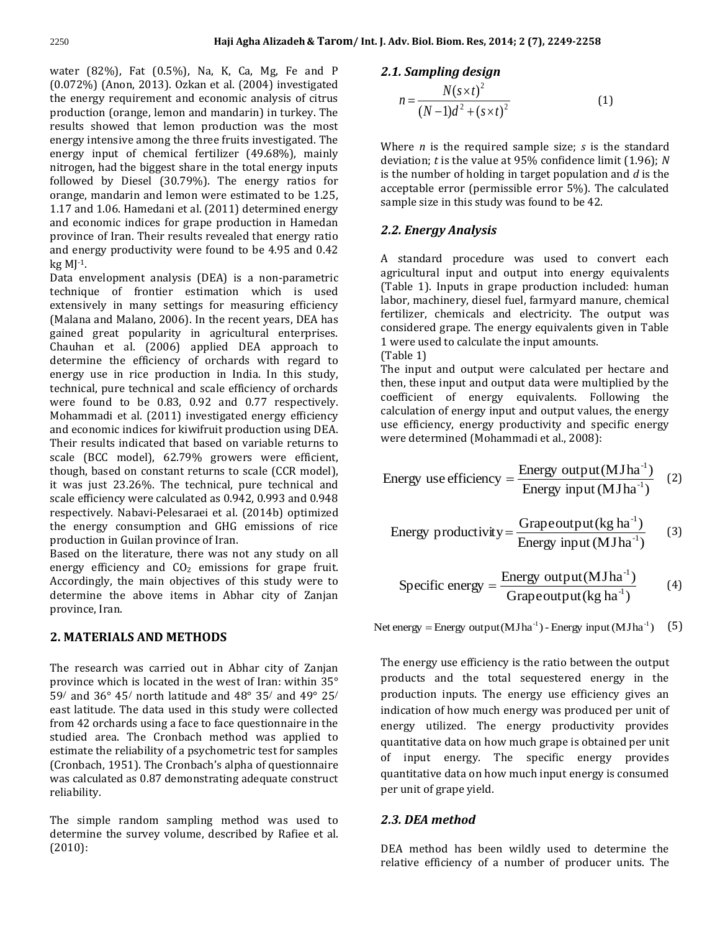water (82%), Fat (0.5%), Na, K, Ca, Mg, Fe and P (0.072%) (Anon, 2013). Ozkan et al. (2004) investigated the energy requirement and economic analysis of citrus production (orange, lemon and mandarin) in turkey. The results showed that lemon production was the most energy intensive among the three fruits investigated. The energy input of chemical fertilizer (49.68%), mainly nitrogen, had the biggest share in the total energy inputs followed by Diesel (30.79%). The energy ratios for orange, mandarin and lemon were estimated to be 1.25, 1.17 and 1.06. Hamedani et al. (2011) determined energy and economic indices for grape production in Hamedan province of Iran. Their results revealed that energy ratio and energy productivity were found to be 4.95 and 0.42  $kg M11$ .

Data envelopment analysis (DEA) is a non-parametric technique of frontier estimation which is used extensively in many settings for measuring efficiency (Malana and Malano, 2006). In the recent years, DEA has gained great popularity in agricultural enterprises. Chauhan et al. (2006) applied DEA approach to determine the efficiency of orchards with regard to energy use in rice production in India. In this study, technical, pure technical and scale efficiency of orchards were found to be 0.83, 0.92 and 0.77 respectively. Mohammadi et al. (2011) investigated energy efficiency and economic indices for kiwifruit production using DEA. Their results indicated that based on variable returns to scale (BCC model), 62.79% growers were efficient, though, based on constant returns to scale (CCR model), it was just 23.26%. The technical, pure technical and scale efficiency were calculated as 0.942, 0.993 and 0.948 respectively. Nabavi-Pelesaraei et al. (2014b) optimized the energy consumption and GHG emissions of rice production in Guilan province of Iran.

Based on the literature, there was not any study on all energy efficiency and  $CO<sub>2</sub>$  emissions for grape fruit. Accordingly, the main objectives of this study were to determine the above items in Abhar city of Zanjan province, Iran.

## **2. MATERIALS AND METHODS**

The research was carried out in Abhar city of Zanjan province which is located in the west of Iran: within 35° 59/ and 36° 45/ north latitude and 48° 35/ and 49° 25/ east latitude. The data used in this study were collected from 42 orchards using a face to face questionnaire in the studied area. The Cronbach method was applied to estimate the reliability of a psychometric test for samples (Cronbach, 1951). The Cronbach's alpha of questionnaire was calculated as 0.87 demonstrating adequate construct reliability.

The simple random sampling method was used to determine the survey volume, described by Rafiee et al. (2010):

#### *2.1. Sampling design*

$$
n = \frac{N(s \times t)^2}{(N-1)d^2 + (s \times t)^2}
$$
 (1)

Where *n* is the required sample size; *s* is the standard deviation; *t* is the value at 95% confidence limit (1.96); *N* is the number of holding in target population and *d* is the acceptable error (permissible error 5%). The calculated sample size in this study was found to be 42.

## *2.2. Energy Analysis*

A standard procedure was used to convert each agricultural input and output into energy equivalents (Table 1). Inputs in grape production included: human labor, machinery, diesel fuel, farmyard manure, chemical fertilizer, chemicals and electricity. The output was considered grape. The energy equivalents given in Table 1 were used to calculate the input amounts.

(Table 1)

The input and output were calculated per hectare and then, these input and output data were multiplied by the coefficient of energy equivalents. Following the calculation of energy input and output values, the energy use efficiency, energy productivity and specific energy were determined (Mohammadi et al., 2008):

Energy use efficiency = 
$$
\frac{\text{Energy output} (M J h a^{-1})}{\text{Energy input} (M J h a^{-1})}
$$
 (2)

Energy productivity = 
$$
\frac{\text{Grapeoutput}(\text{kg ha}^{-1})}{\text{Energy input}(\text{MJha}^{-1})}
$$
 (3)

$$
Specific energy = \frac{Energy output (M J h a^{-1})}{Grape output (kg h a^{-1})}
$$
 (4)

Net energy = Energy output (MJha<sup>-1</sup>) - Energy input (MJha<sup>-1</sup>) (5)

The energy use efficiency is the ratio between the output products and the total sequestered energy in the production inputs. The energy use efficiency gives an indication of how much energy was produced per unit of energy utilized. The energy productivity provides quantitative data on how much grape is obtained per unit of input energy. The specific energy provides quantitative data on how much input energy is consumed per unit of grape yield.

#### *2.3. DEA method*

DEA method has been wildly used to determine the relative efficiency of a number of producer units. The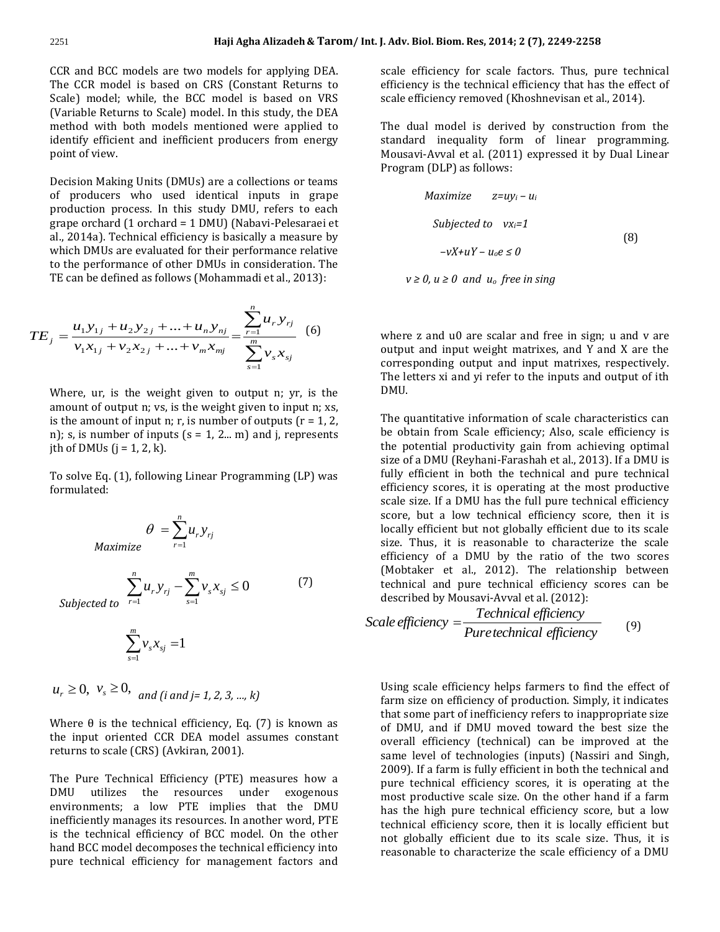CCR and BCC models are two models for applying DEA. The CCR model is based on CRS (Constant Returns to Scale) model; while, the BCC model is based on VRS (Variable Returns to Scale) model. In this study, the DEA method with both models mentioned were applied to identify efficient and inefficient producers from energy point of view.

Decision Making Units (DMUs) are a collections or teams of producers who used identical inputs in grape production process. In this study DMU, refers to each grape orchard (1 orchard = 1 DMU) (Nabavi-Pelesaraei et al., 2014a). Technical efficiency is basically a measure by which DMUs are evaluated for their performance relative to the performance of other DMUs in consideration. The TE can be defined as follows (Mohammadi et al., 2013):

$$
TE_j = \frac{u_1 y_{1j} + u_2 y_{2j} + \dots + u_n y_{nj}}{v_1 x_{1j} + v_2 x_{2j} + \dots + v_m x_{mj}} = \frac{\sum_{r=1}^n u_r y_{rj}}{\sum_{s=1}^m v_s x_{sj}} \tag{6}
$$

Where, ur, is the weight given to output n; yr, is the amount of output n; vs, is the weight given to input n; xs, is the amount of input n; r, is number of outputs  $(r = 1, 2, ...)$ n); s, is number of inputs  $(s = 1, 2... m)$  and j, represents jth of DMUs  $(j = 1, 2, k)$ .

To solve Eq. (1), following Linear Programming (LP) was formulated:

$$
\theta = \sum_{r=1}^{n} u_r y_{rj}
$$

*Max* 

$$
\sum_{\text{Subjected to}}^{n} u_r y_{rj} - \sum_{s=1}^{m} v_s x_{sj} \le 0 \tag{7}
$$

 $\sum_{s=1}^{m} v_s x_{sj} =$ *s*  $v_s x_{sj}$ 1 1

$$
u_r \ge 0
$$
,  $v_s \ge 0$ , and (i and j = 1, 2, 3, ..., k)

Where  $\theta$  is the technical efficiency, Eq. (7) is known as the input oriented CCR DEA model assumes constant returns to scale (CRS) (Avkiran, 2001).

The Pure Technical Efficiency (PTE) measures how a DMU utilizes the resources under exogenous environments; a low PTE implies that the DMU inefficiently manages its resources. In another word, PTE is the technical efficiency of BCC model. On the other hand BCC model decomposes the technical efficiency into pure technical efficiency for management factors and scale efficiency for scale factors. Thus, pure technical efficiency is the technical efficiency that has the effect of scale efficiency removed (Khoshnevisan et al., 2014).

The dual model is derived by construction from the standard inequality form of linear programming. Mousavi-Avval et al. (2011) expressed it by Dual Linear Program (DLP) as follows:

$$
Maximize \t z = uy_i - u_i
$$
  
Subjected to  $vx_i = 1$   

$$
-vX + uY - u_0e \le 0
$$
 (8)

 $v \ge 0$ ,  $u \ge 0$  and  $u_0$  free in sing

where z and u0 are scalar and free in sign; u and y are output and input weight matrixes, and Y and X are the corresponding output and input matrixes, respectively. The letters xi and yi refer to the inputs and output of ith DMU.

The quantitative information of scale characteristics can be obtain from Scale efficiency; Also, scale efficiency is the potential productivity gain from achieving optimal size of a DMU (Reyhani-Farashah et al., 2013). If a DMU is fully efficient in both the technical and pure technical efficiency scores, it is operating at the most productive scale size. If a DMU has the full pure technical efficiency score, but a low technical efficiency score, then it is locally efficient but not globally efficient due to its scale size. Thus, it is reasonable to characterize the scale efficiency of a DMU by the ratio of the two scores (Mobtaker et al., 2012). The relationship between technical and pure technical efficiency scores can be described by Mousavi-Avval et al. (2012):

Scale efficiency 
$$
=\frac{Technical efficiency}{Pure technical efficiency}
$$
 (9)

Using scale efficiency helps farmers to find the effect of farm size on efficiency of production. Simply, it indicates that some part of inefficiency refers to inappropriate size of DMU, and if DMU moved toward the best size the overall efficiency (technical) can be improved at the same level of technologies (inputs) (Nassiri and Singh, 2009). If a farm is fully efficient in both the technical and pure technical efficiency scores, it is operating at the most productive scale size. On the other hand if a farm has the high pure technical efficiency score, but a low technical efficiency score, then it is locally efficient but not globally efficient due to its scale size. Thus, it is reasonable to characterize the scale efficiency of a DMU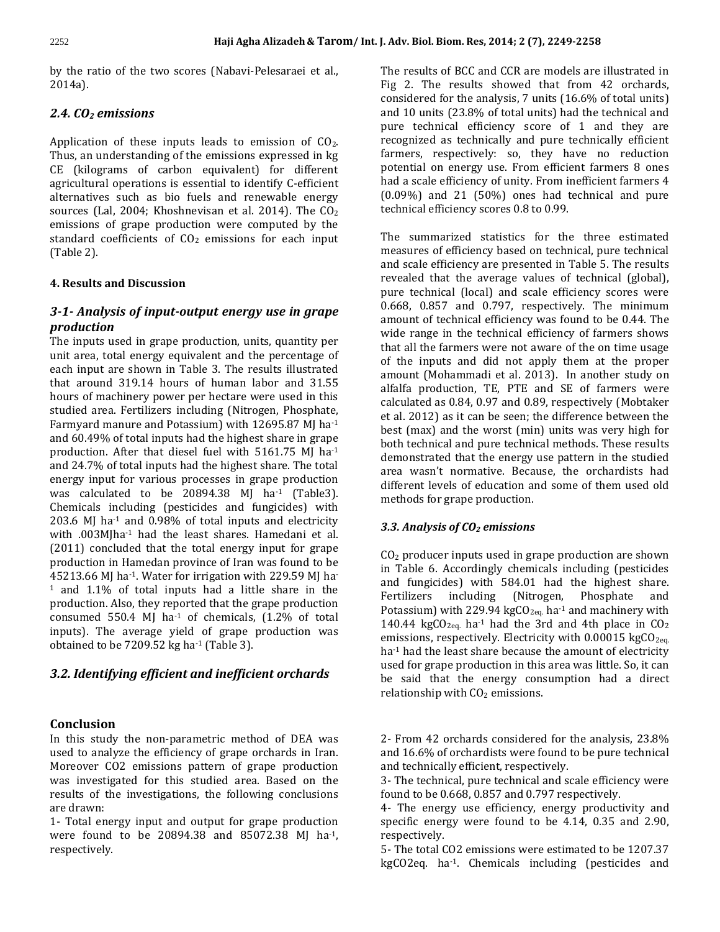by the ratio of the two scores (Nabavi-Pelesaraei et al., 2014a).

## *2.4. CO<sup>2</sup> emissions*

Application of these inputs leads to emission of  $CO<sub>2</sub>$ . Thus, an understanding of the emissions expressed in kg CE (kilograms of carbon equivalent) for different agricultural operations is essential to identify C-efficient alternatives such as bio fuels and renewable energy sources (Lal, 2004; Khoshnevisan et al. 2014). The  $CO<sub>2</sub>$ emissions of grape production were computed by the standard coefficients of  $CO<sub>2</sub>$  emissions for each input (Table 2).

## **4. Results and Discussion**

## *3-1- Analysis of input-output energy use in grape production*

The inputs used in grape production, units, quantity per unit area, total energy equivalent and the percentage of each input are shown in Table 3. The results illustrated that around 319.14 hours of human labor and 31.55 hours of machinery power per hectare were used in this studied area. Fertilizers including (Nitrogen, Phosphate, Farmyard manure and Potassium) with 12695.87 MJ ha-1 and 60.49% of total inputs had the highest share in grape production. After that diesel fuel with 5161.75 MJ ha-1 and 24.7% of total inputs had the highest share. The total energy input for various processes in grape production was calculated to be 20894.38 MJ ha<sup>-1</sup> (Table3). Chemicals including (pesticides and fungicides) with 203.6 MJ ha<sup>-1</sup> and 0.98% of total inputs and electricity with .003MJha-1 had the least shares. Hamedani et al. (2011) concluded that the total energy input for grape production in Hamedan province of Iran was found to be 45213.66 MJ ha-1. Water for irrigation with 229.59 MJ ha-<sup>1</sup> and 1.1% of total inputs had a little share in the production. Also, they reported that the grape production consumed 550.4 MJ ha<sup>-1</sup> of chemicals,  $(1.2\%$  of total inputs). The average yield of grape production was obtained to be 7209.52 kg ha-1 (Table 3).

## *3.2. Identifying efficient and inefficient orchards*

## **Conclusion**

In this study the non-parametric method of DEA was used to analyze the efficiency of grape orchards in Iran. Moreover CO2 emissions pattern of grape production was investigated for this studied area. Based on the results of the investigations, the following conclusions are drawn:

1- Total energy input and output for grape production were found to be 20894.38 and 85072.38 MJ ha-1, respectively.

The results of BCC and CCR are models are illustrated in Fig 2. The results showed that from 42 orchards, considered for the analysis, 7 units (16.6% of total units) and 10 units (23.8% of total units) had the technical and pure technical efficiency score of 1 and they are recognized as technically and pure technically efficient farmers, respectively: so, they have no reduction potential on energy use. From efficient farmers 8 ones had a scale efficiency of unity. From inefficient farmers 4 (0.09%) and 21 (50%) ones had technical and pure technical efficiency scores 0.8 to 0.99.

The summarized statistics for the three estimated measures of efficiency based on technical, pure technical and scale efficiency are presented in Table 5. The results revealed that the average values of technical (global), pure technical (local) and scale efficiency scores were 0.668, 0.857 and 0.797, respectively. The minimum amount of technical efficiency was found to be 0.44. The wide range in the technical efficiency of farmers shows that all the farmers were not aware of the on time usage of the inputs and did not apply them at the proper amount (Mohammadi et al. 2013). In another study on alfalfa production, TE, PTE and SE of farmers were calculated as 0.84, 0.97 and 0.89, respectively (Mobtaker et al. 2012) as it can be seen; the difference between the best (max) and the worst (min) units was very high for both technical and pure technical methods. These results demonstrated that the energy use pattern in the studied area wasn't normative. Because, the orchardists had different levels of education and some of them used old methods for grape production.

## *3.3. Analysis of CO<sup>2</sup> emissions*

 $CO<sub>2</sub>$  producer inputs used in grape production are shown in Table 6. Accordingly chemicals including (pesticides and fungicides) with 584.01 had the highest share. Fertilizers including (Nitrogen, Phosphate and Potassium) with 229.94 kg $CO<sub>2eq</sub>$  ha<sup>-1</sup> and machinery with 140.44 kgCO<sub>2eq.</sub> ha<sup>-1</sup> had the 3rd and 4th place in  $CO<sub>2</sub>$ emissions, respectively. Electricity with  $0.00015 \text{ kgCO}_{2\text{eq.}}$ ha<sup>-1</sup> had the least share because the amount of electricity used for grape production in this area was little. So, it can be said that the energy consumption had a direct relationship with  $CO<sub>2</sub>$  emissions.

2- From 42 orchards considered for the analysis, 23.8% and 16.6% of orchardists were found to be pure technical and technically efficient, respectively.

3- The technical, pure technical and scale efficiency were found to be 0.668, 0.857 and 0.797 respectively.

4- The energy use efficiency, energy productivity and specific energy were found to be 4.14, 0.35 and 2.90, respectively.

5- The total CO2 emissions were estimated to be 1207.37 kgCO2eq. ha-1. Chemicals including (pesticides and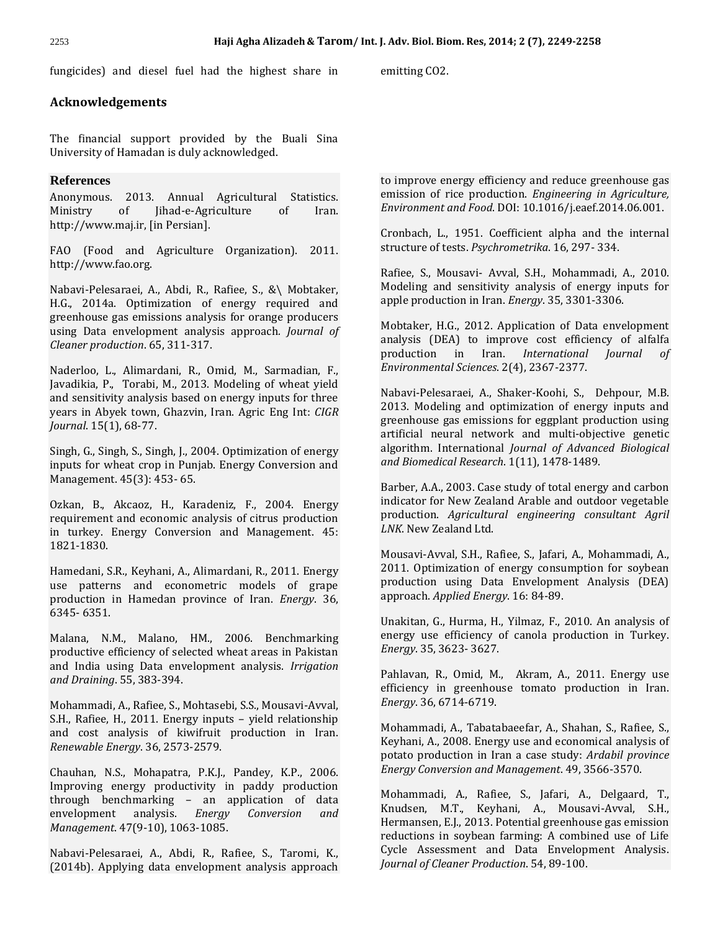fungicides) and diesel fuel had the highest share in emitting CO2.

## **Acknowledgements**

The financial support provided by the Buali Sina University of Hamadan is duly acknowledged.

## **References**

Anonymous. 2013. Annual Agricultural Statistics. Ministry of Jihad-e-Agriculture of Iran. http://www.maj.ir, [in Persian].

FAO (Food and Agriculture Organization). 2011. http://www.fao.org.

Nabavi-Pelesaraei, A., Abdi, R., Rafiee, S., &\ Mobtaker, H.G., 2014a. Optimization of energy required and greenhouse gas emissions analysis for orange producers using Data envelopment analysis approach*. Journal of Cleaner production*. 65, 311-317.

Naderloo, L., Alimardani, R., Omid, M., Sarmadian, F., Javadikia, P., Torabi, M., 2013. Modeling of wheat yield and sensitivity analysis based on energy inputs for three years in Abyek town, Ghazvin, Iran. Agric Eng Int: *CIGR Journal*. 15(1), 68-77.

Singh, G., Singh, S., Singh, J., 2004. Optimization of energy inputs for wheat crop in Punjab. Energy Conversion and Management. 45(3): 453- 65.

Ozkan, B., Akcaoz, H., Karadeniz, F., 2004. Energy requirement and economic analysis of citrus production in turkey. Energy Conversion and Management. 45: 1821-1830.

Hamedani, S.R., Keyhani, A., Alimardani, R., 2011. Energy use patterns and econometric models of grape production in Hamedan province of Iran. *Energy*. 36, 6345- 6351.

Malana, N.M., Malano, HM., 2006. Benchmarking productive efficiency of selected wheat areas in Pakistan and India using Data envelopment analysis. *Irrigation and Draining*. 55, 383-394.

Mohammadi, A., Rafiee, S., Mohtasebi, S.S., Mousavi-Avval, S.H., Rafiee, H., 2011. Energy inputs – yield relationship and cost analysis of kiwifruit production in Iran. *Renewable Energy*. 36, 2573-2579.

Chauhan, N.S., Mohapatra, P.K.J., Pandey, K.P., 2006. Improving energy productivity in paddy production through benchmarking – an application of data envelopment analysis. *Energy Conversion and Management*. 47(9-10), 1063-1085.

Nabavi-Pelesaraei, A., Abdi, R., Rafiee, S., Taromi, K., (2014b). Applying data envelopment analysis approach to improve energy efficiency and reduce greenhouse gas emission of rice production. *Engineering in Agriculture, Environment and Food*. DOI: 10.1016/j.eaef.2014.06.001.

Cronbach, L., 1951. Coefficient alpha and the internal structure of tests. *Psychrometrika*. 16, 297- 334.

Rafiee, S., Mousavi- Avval, S.H., Mohammadi, A., 2010. Modeling and sensitivity analysis of energy inputs for apple production in Iran. *Energy*. 35, 3301-3306.

Mobtaker, H.G., 2012. Application of Data envelopment analysis (DEA) to improve cost efficiency of alfalfa production in Iran. *International Journal of Environmental Sciences*. 2(4), 2367-2377.

Nabavi-Pelesaraei, A., Shaker-Koohi, S., Dehpour, M.B. 2013. Modeling and optimization of energy inputs and greenhouse gas emissions for eggplant production using artificial neural network and multi-objective genetic algorithm. International *Journal of Advanced Biological and Biomedical Research*. 1(11), 1478-1489.

Barber, A.A., 2003. Case study of total energy and carbon indicator for New Zealand Arable and outdoor vegetable production. *Agricultural engineering consultant Agril LNK*. New Zealand Ltd.

Mousavi-Avval, S.H., Rafiee, S., Jafari, A., Mohammadi, A., 2011. Optimization of energy consumption for soybean production using Data Envelopment Analysis (DEA) approach. *Applied Energy*. 16: 84-89.

Unakitan, G., Hurma, H., Yilmaz, F., 2010. An analysis of energy use efficiency of canola production in Turkey. *Energy*. 35, 3623- 3627.

Pahlavan, R., Omid, M., Akram, A., 2011. Energy use efficiency in greenhouse tomato production in Iran. *Energy*. 36, 6714-6719.

Mohammadi, A., Tabatabaeefar, A., Shahan, S., Rafiee, S., Keyhani, A., 2008. Energy use and economical analysis of potato production in Iran a case study: *Ardabil province Energy Conversion and Management*. 49, 3566-3570.

Mohammadi, A., Rafiee, S., Jafari, A., Delgaard, T., Knudsen, M.T., Keyhani, A., Mousavi-Avval, S.H., Hermansen, E.J., 2013. Potential greenhouse gas emission reductions in soybean farming: A combined use of Life Cycle Assessment and Data Envelopment Analysis. *Journal of Cleaner Production*. 54, 89-100.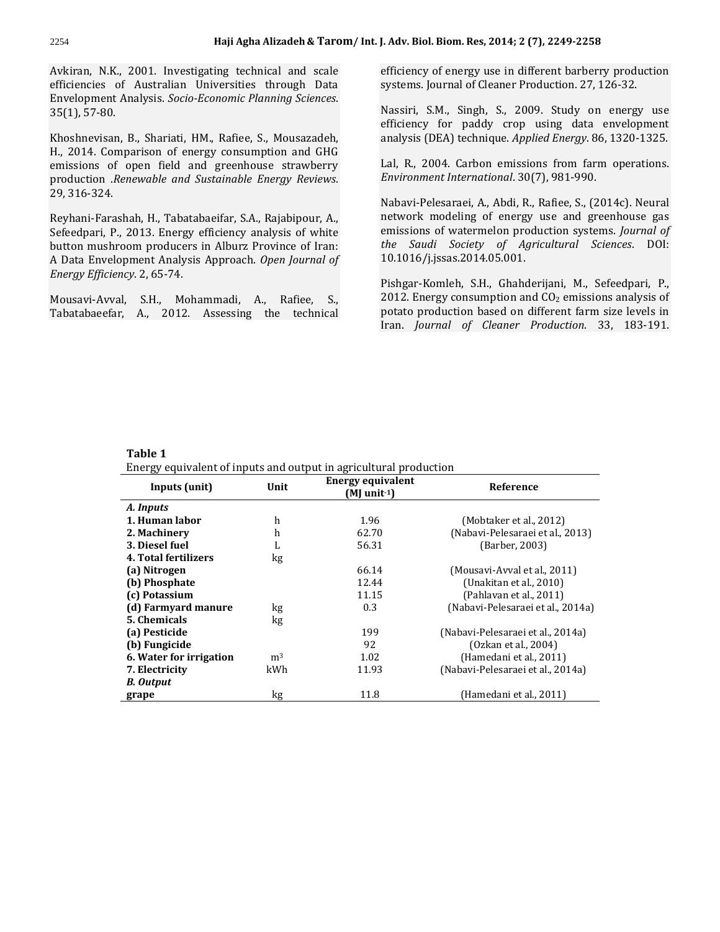Avkiran, N.K., 2001. Investigating technical and scale efficiencies of Australian Universities through Data Envelopment Analysis. *Socio-Economic Planning Sciences*. 35(1), 57-80.

Khoshnevisan, B., Shariati, HM., Rafiee, S., Mousazadeh, H., 2014. Comparison of energy consumption and GHG emissions of open field and greenhouse strawberry production .*Renewable and Sustainable Energy Reviews*. 29, 316-324.

Reyhani-Farashah, H., Tabatabaeifar, S.A., Rajabipour, A., Sefeedpari, P., 2013. Energy efficiency analysis of white button mushroom producers in Alburz Province of Iran: A Data Envelopment Analysis Approach. *Open Journal of Energy Efficiency*. 2, 65-74.

Mousavi-Avval, S.H., Mohammadi, A., Rafiee, S., Tabatabaeefar, A., 2012. Assessing the technical efficiency of energy use in different barberry production systems. Journal of Cleaner Production. 27, 126-32.

Nassiri, S.M., Singh, S., 2009. Study on energy use efficiency for paddy crop using data envelopment analysis (DEA) technique. *Applied Energy*. 86, 1320-1325.

Lal, R., 2004. Carbon emissions from farm operations. *Environment International*. 30(7), 981-990.

Nabavi-Pelesaraei, A., Abdi, R., Rafiee, S., (2014c). Neural network modeling of energy use and greenhouse gas emissions of watermelon production systems. *Journal of the Saudi Society of Agricultural Sciences*. DOI: 10.1016/j.jssas.2014.05.001.

Pishgar-Komleh, S.H., Ghahderijani, M., Sefeedpari, P., 2012. Energy consumption and  $CO<sub>2</sub>$  emissions analysis of potato production based on different farm size levels in Iran. *Journal of Cleaner Production*. 33, 183-191.

#### **Table 1**

Energy equivalent of inputs and output in agricultural production

| Inputs (unit)           | Unit           | <b>Energy equivalent</b><br>$(MI)$ unit <sup>-1</sup> ) | Reference                         |
|-------------------------|----------------|---------------------------------------------------------|-----------------------------------|
| A. Inputs               |                |                                                         |                                   |
| 1. Human labor          | h              | 1.96                                                    | (Mobtaker et al., 2012)           |
| 2. Machinery            | h              | 62.70                                                   | (Nabavi-Pelesaraei et al., 2013)  |
| 3. Diesel fuel          | L              | 56.31                                                   | (Barber, 2003)                    |
| 4. Total fertilizers    | kg             |                                                         |                                   |
| (a) Nitrogen            |                | 66.14                                                   | (Mousavi-Avval et al., 2011)      |
| (b) Phosphate           |                | 12.44                                                   | (Unakitan et al., 2010)           |
| (c) Potassium           |                | 11.15                                                   | (Pahlavan et al., 2011)           |
| (d) Farmyard manure     | kg             | 0.3                                                     | (Nabavi-Pelesaraei et al., 2014a) |
| 5. Chemicals            | kg             |                                                         |                                   |
| (a) Pesticide           |                | 199                                                     | (Nabavi-Pelesaraei et al., 2014a) |
| (b) Fungicide           |                | 92                                                      | (Ozkan et al., 2004)              |
| 6. Water for irrigation | m <sup>3</sup> | 1.02                                                    | (Hamedani et al., 2011)           |
| 7. Electricity          | kWh            | 11.93                                                   | (Nabavi-Pelesaraei et al., 2014a) |
| <b>B.</b> Output        |                |                                                         |                                   |
| grape                   | kg             | 11.8                                                    | (Hamedani et al., 2011)           |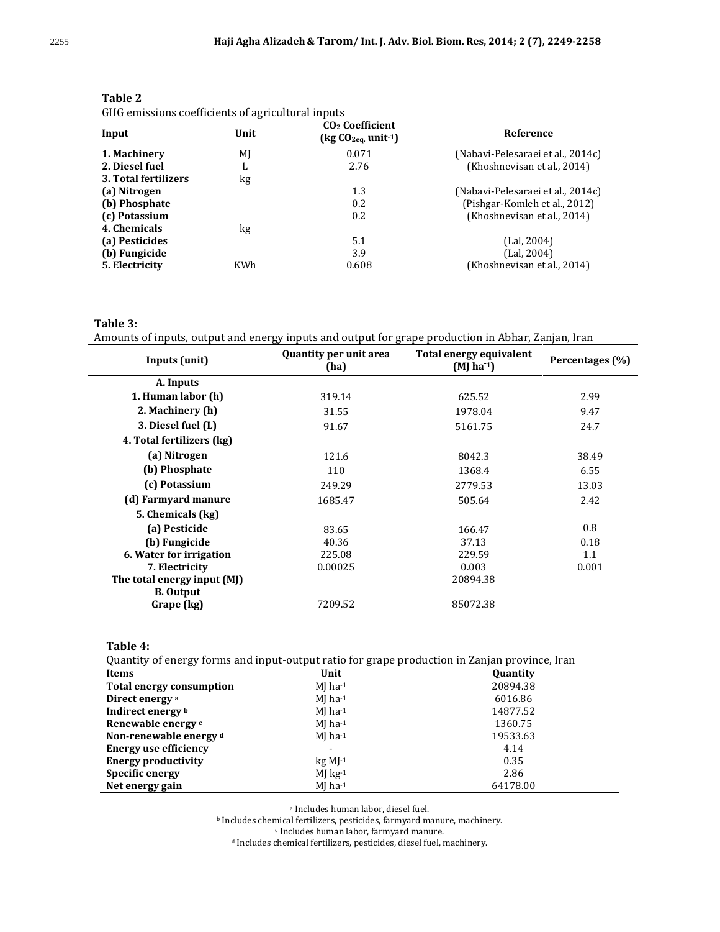| Input                | Unit | CO <sub>2</sub> Coefficient<br>$\left(\text{kg }CO_{2\text{eq}}\right)$ unit <sup>-1</sup> ) | Reference                         |
|----------------------|------|----------------------------------------------------------------------------------------------|-----------------------------------|
| 1. Machinery         | MJ   | 0.071                                                                                        | (Nabavi-Pelesaraei et al., 2014c) |
| 2. Diesel fuel       | ъ.   | 2.76                                                                                         | (Khoshnevisan et al., 2014)       |
| 3. Total fertilizers | kg   |                                                                                              |                                   |
| (a) Nitrogen         |      | 1.3                                                                                          | (Nabavi-Pelesaraei et al., 2014c) |
| (b) Phosphate        |      | 0.2                                                                                          | (Pishgar-Komleh et al., 2012)     |
| (c) Potassium        |      | 0.2                                                                                          | (Khoshnevisan et al., 2014)       |
| 4. Chemicals         | kg   |                                                                                              |                                   |
| (a) Pesticides       |      | 5.1                                                                                          | (Lal, 2004)                       |
| (b) Fungicide        |      | 3.9                                                                                          | (Lal, 2004)                       |
| 5. Electricity       | KWh  | 0.608                                                                                        | (Khoshnevisan et al., 2014)       |

| Ι<br>n<br>ı.<br> |  |
|------------------|--|
|------------------|--|

GHG emissions coefficients of agricultural inputs

#### **Table 3:**

Amounts of inputs, output and energy inputs and output for grape production in Abhar, Zanjan, Iran

| <b>Quantity per unit area</b><br>Inputs (unit)<br>(ha) |         | Total energy equivalent<br>$(MJ)$ ha <sup>-1</sup> ) | Percentages (%) |
|--------------------------------------------------------|---------|------------------------------------------------------|-----------------|
| A. Inputs                                              |         |                                                      |                 |
| 1. Human labor (h)                                     | 319.14  | 625.52                                               | 2.99            |
| 2. Machinery (h)                                       | 31.55   | 1978.04                                              | 9.47            |
| 3. Diesel fuel (L)                                     | 91.67   | 5161.75                                              | 24.7            |
| 4. Total fertilizers (kg)                              |         |                                                      |                 |
| (a) Nitrogen                                           | 121.6   | 8042.3                                               | 38.49           |
| (b) Phosphate                                          | 110     | 1368.4                                               | 6.55            |
| (c) Potassium                                          | 249.29  | 2779.53                                              | 13.03           |
| (d) Farmyard manure                                    | 1685.47 | 505.64                                               | 2.42            |
| 5. Chemicals (kg)                                      |         |                                                      |                 |
| (a) Pesticide                                          | 83.65   | 166.47                                               | 0.8             |
| (b) Fungicide                                          | 40.36   | 37.13                                                | 0.18            |
| 6. Water for irrigation                                | 225.08  | 229.59                                               | 1.1             |
| 7. Electricity                                         | 0.00025 | 0.003                                                | 0.001           |
| The total energy input (MJ)                            |         | 20894.38                                             |                 |
| <b>B.</b> Output                                       |         |                                                      |                 |
| Grape (kg)                                             | 7209.52 | 85072.38                                             |                 |

**Table 4:**

Quantity of energy forms and input-output ratio for grape production in Zanjan province, Iran

| <b>Items</b>                    | Unit                  | Quantity |
|---------------------------------|-----------------------|----------|
| <b>Total energy consumption</b> | $MI$ ha-1             | 20894.38 |
| Direct energy a                 | $MJ$ ha-1             | 6016.86  |
| Indirect energy b               | $MI$ ha-1             | 14877.52 |
| Renewable energy c              | $MI$ ha <sup>-1</sup> | 1360.75  |
| Non-renewable energy d          | $MI$ ha <sup>-1</sup> | 19533.63 |
| <b>Energy use efficiency</b>    |                       | 4.14     |
| <b>Energy productivity</b>      | $kg M1^{-1}$          | 0.35     |
| Specific energy                 | $MJ$ kg <sup>-1</sup> | 2.86     |
| Net energy gain                 | $MI$ ha-1             | 64178.00 |

a Includes human labor, diesel fuel.

<sup>b</sup> Includes chemical fertilizers, pesticides, farmyard manure, machinery.

c Includes human labor, farmyard manure.

<sup>d</sup> Includes chemical fertilizers, pesticides, diesel fuel, machinery.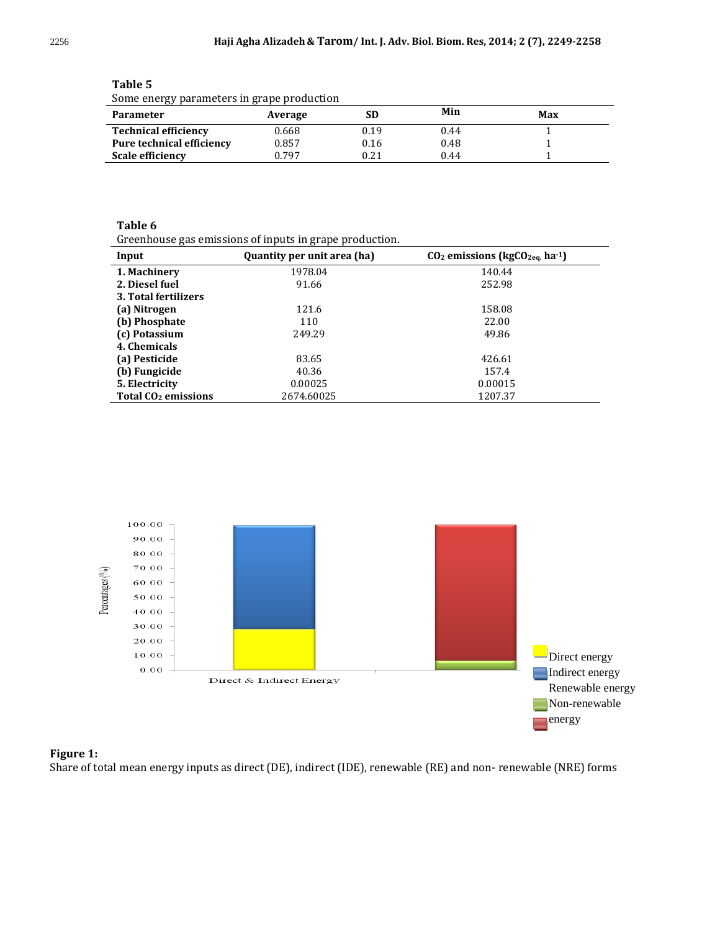| some energy parameters in grape production |         |      |      |     |
|--------------------------------------------|---------|------|------|-----|
| <b>Parameter</b>                           | Average |      | Min  | Max |
| <b>Technical efficiency</b>                | 0.668   | 0.19 | 0.44 |     |
| Pure technical efficiency                  | 0.857   | 0.16 | 0.48 |     |
| <b>Scale efficiency</b>                    | በ 797   | 0.21 | 0.44 |     |

**Table 5** Some energy parameters in grape production

## **Table 6**

Greenhouse gas emissions of inputs in grape production.

| Input                                 | Quantity per unit area (ha) | $CO2$ emissions (kg $CO2eq$ ha <sup>-1</sup> ) |
|---------------------------------------|-----------------------------|------------------------------------------------|
| 1. Machinery                          | 1978.04                     | 140.44                                         |
| 2. Diesel fuel                        | 91.66                       | 252.98                                         |
| 3. Total fertilizers                  |                             |                                                |
| (a) Nitrogen                          | 121.6                       | 158.08                                         |
| (b) Phosphate                         | 110                         | 22.00                                          |
| (c) Potassium                         | 249.29                      | 49.86                                          |
| 4. Chemicals                          |                             |                                                |
| (a) Pesticide                         | 83.65                       | 426.61                                         |
| (b) Fungicide                         | 40.36                       | 157.4                                          |
| 5. Electricity                        | 0.00025                     | 0.00015                                        |
| <b>Total CO<sub>2</sub></b> emissions | 2674.60025                  | 1207.37                                        |



## **Figure 1:**

Share of total mean energy inputs as direct (DE), indirect (IDE), renewable (RE) and non- renewable (NRE) forms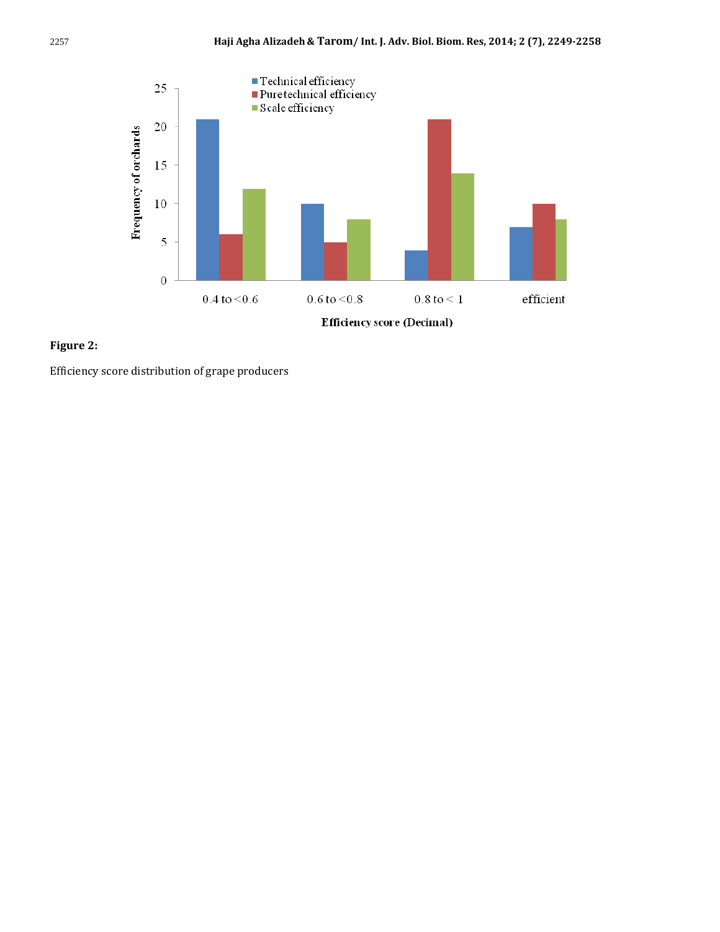



Efficiency score distribution of grape producers